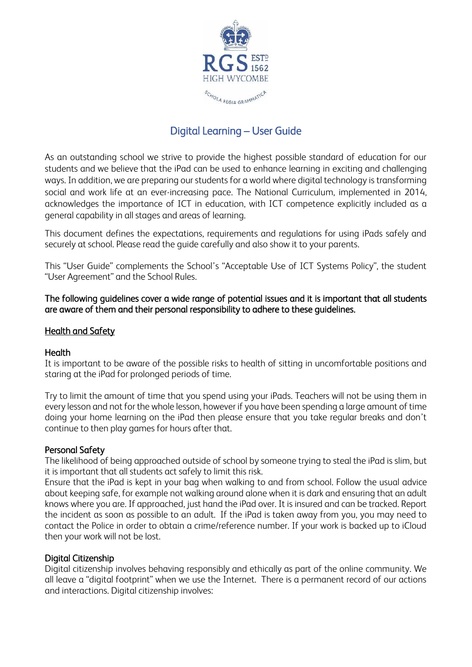

# Digital Learning – User Guide

As an outstanding school we strive to provide the highest possible standard of education for our students and we believe that the iPad can be used to enhance learning in exciting and challenging ways. In addition, we are preparing our students for a world where digital technology is transforming social and work life at an ever-increasing pace. The National Curriculum, implemented in 2014, acknowledges the importance of ICT in education, with ICT competence explicitly included as a general capability in all stages and areas of learning.

This document defines the expectations, requirements and regulations for using iPads safely and securely at school. Please read the guide carefully and also show it to your parents.

This "User Guide" complements the School's "Acceptable Use of ICT Systems Policy", the student "User Agreement" and the School Rules.

#### The following guidelines cover a wide range of potential issues and it is important that all students are aware of them and their personal responsibility to adhere to these guidelines.

#### **Health and Safety**

#### **Health**

It is important to be aware of the possible risks to health of sitting in uncomfortable positions and staring at the iPad for prolonged periods of time.

Try to limit the amount of time that you spend using your iPads. Teachers will not be using them in every lesson and not for the whole lesson, however if you have been spending a large amount of time doing your home learning on the iPad then please ensure that you take regular breaks and don't continue to then play games for hours after that.

#### Personal Safety

The likelihood of being approached outside of school by someone trying to steal the iPad is slim, but it is important that all students act safely to limit this risk.

Ensure that the iPad is kept in your bag when walking to and from school. Follow the usual advice about keeping safe, for example not walking around alone when it is dark and ensuring that an adult knows where you are. If approached, just hand the iPad over. It is insured and can be tracked. Report the incident as soon as possible to an adult. If the iPad is taken away from you, you may need to contact the Police in order to obtain a crime/reference number. If your work is backed up to iCloud then your work will not be lost.

#### Digital Citizenship

Digital citizenship involves behaving responsibly and ethically as part of the online community. We all leave a "digital footprint" when we use the Internet. There is a permanent record of our actions and interactions. Digital citizenship involves: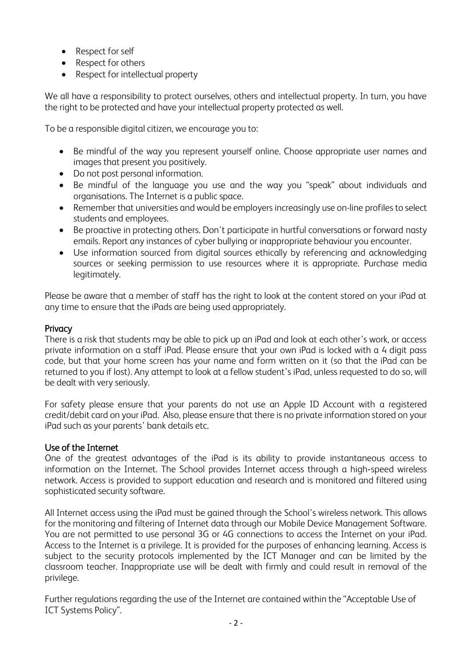- Respect for self
- Respect for others
- Respect for intellectual property

We all have a responsibility to protect ourselves, others and intellectual property. In turn, you have the right to be protected and have your intellectual property protected as well.

To be a responsible digital citizen, we encourage you to:

- Be mindful of the way you represent yourself online. Choose appropriate user names and images that present you positively.
- Do not post personal information.
- Be mindful of the language you use and the way you "speak" about individuals and organisations. The Internet is a public space.
- Remember that universities and would be employers increasingly use on-line profiles to select students and employees.
- Be proactive in protecting others. Don't participate in hurtful conversations or forward nasty emails. Report any instances of cyber bullying or inappropriate behaviour you encounter.
- Use information sourced from digital sources ethically by referencing and acknowledging sources or seeking permission to use resources where it is appropriate. Purchase media legitimately.

Please be aware that a member of staff has the right to look at the content stored on your iPad at any time to ensure that the iPads are being used appropriately.

## **Privacy**

There is a risk that students may be able to pick up an iPad and look at each other's work, or access private information on a staff iPad. Please ensure that your own iPad is locked with a 4 digit pass code, but that your home screen has your name and form written on it (so that the iPad can be returned to you if lost). Any attempt to look at a fellow student's iPad, unless requested to do so, will be dealt with very seriously.

For safety please ensure that your parents do not use an Apple ID Account with a registered credit/debit card on your iPad. Also, please ensure that there is no private information stored on your iPad such as your parents' bank details etc.

## Use of the Internet

One of the greatest advantages of the iPad is its ability to provide instantaneous access to information on the Internet. The School provides Internet access through a high-speed wireless network. Access is provided to support education and research and is monitored and filtered using sophisticated security software.

All Internet access using the iPad must be gained through the School's wireless network. This allows for the monitoring and filtering of Internet data through our Mobile Device Management Software. You are not permitted to use personal 3G or 4G connections to access the Internet on your iPad. Access to the Internet is a privilege. It is provided for the purposes of enhancing learning. Access is subject to the security protocols implemented by the ICT Manager and can be limited by the classroom teacher. Inappropriate use will be dealt with firmly and could result in removal of the privilege.

Further regulations regarding the use of the Internet are contained within the "Acceptable Use of ICT Systems Policy".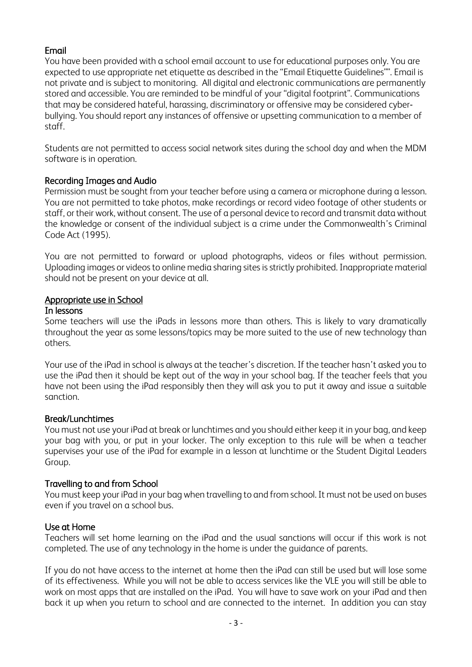## Email

You have been provided with a school email account to use for educational purposes only. You are expected to use appropriate net etiquette as described in the "Email Etiquette Guidelines"". Email is not private and is subject to monitoring. All digital and electronic communications are permanently stored and accessible. You are reminded to be mindful of your "digital footprint". Communications that may be considered hateful, harassing, discriminatory or offensive may be considered cyber‐ bullying. You should report any instances of offensive or upsetting communication to a member of staff.

Students are not permitted to access social network sites during the school day and when the MDM software is in operation.

### Recording Images and Audio

Permission must be sought from your teacher before using a camera or microphone during a lesson. You are not permitted to take photos, make recordings or record video footage of other students or staff, or their work, without consent. The use of a personal device to record and transmit data without the knowledge or consent of the individual subject is a crime under the Commonwealth's Criminal Code Act (1995).

You are not permitted to forward or upload photographs, videos or files without permission. Uploading images or videos to online media sharing sites is strictly prohibited. Inappropriate material should not be present on your device at all.

### Appropriate use in School

### In lessons

Some teachers will use the iPads in lessons more than others. This is likely to vary dramatically throughout the year as some lessons/topics may be more suited to the use of new technology than others.

Your use of the iPad in school is always at the teacher's discretion. If the teacher hasn't asked you to use the iPad then it should be kept out of the way in your school bag. If the teacher feels that you have not been using the iPad responsibly then they will ask you to put it away and issue a suitable sanction.

#### Break/Lunchtimes

You must not use your iPad at break or lunchtimes and you should either keep it in your bag, and keep your bag with you, or put in your locker. The only exception to this rule will be when a teacher supervises your use of the iPad for example in a lesson at lunchtime or the Student Digital Leaders Group.

## Travelling to and from School

You must keep your iPad in your bag when travelling to and from school. It must not be used on buses even if you travel on a school bus.

## Use at Home

Teachers will set home learning on the iPad and the usual sanctions will occur if this work is not completed. The use of any technology in the home is under the guidance of parents.

If you do not have access to the internet at home then the iPad can still be used but will lose some of its effectiveness. While you will not be able to access services like the VLE you will still be able to work on most apps that are installed on the iPad. You will have to save work on your iPad and then back it up when you return to school and are connected to the internet. In addition you can stay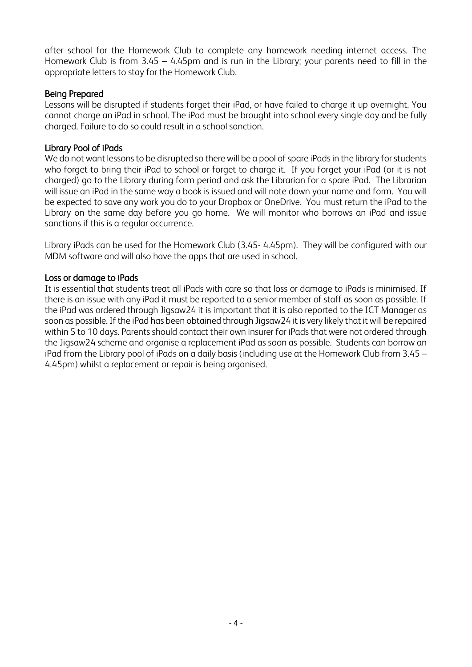after school for the Homework Club to complete any homework needing internet access. The Homework Club is from 3.45 – 4.45pm and is run in the Library; your parents need to fill in the appropriate letters to stay for the Homework Club.

## Being Prepared

Lessons will be disrupted if students forget their iPad, or have failed to charge it up overnight. You cannot charge an iPad in school. The iPad must be brought into school every single day and be fully charged. Failure to do so could result in a school sanction.

## Library Pool of iPads

We do not want lessons to be disrupted so there will be a pool of spare iPads in the library for students who forget to bring their iPad to school or forget to charge it. If you forget your iPad (or it is not charged) go to the Library during form period and ask the Librarian for a spare iPad. The Librarian will issue an iPad in the same way a book is issued and will note down your name and form. You will be expected to save any work you do to your Dropbox or OneDrive. You must return the iPad to the Library on the same day before you go home. We will monitor who borrows an iPad and issue sanctions if this is a regular occurrence.

Library iPads can be used for the Homework Club (3.45- 4.45pm). They will be configured with our MDM software and will also have the apps that are used in school.

### Loss or damage to iPads

It is essential that students treat all iPads with care so that loss or damage to iPads is minimised. If there is an issue with any iPad it must be reported to a senior member of staff as soon as possible. If the iPad was ordered through Jigsaw24 it is important that it is also reported to the ICT Manager as soon as possible. If the iPad has been obtained through Jigsaw24 it is very likely that it will be repaired within 5 to 10 days. Parents should contact their own insurer for iPads that were not ordered through the Jigsaw24 scheme and organise a replacement iPad as soon as possible. Students can borrow an iPad from the Library pool of iPads on a daily basis (including use at the Homework Club from 3.45 – 4.45pm) whilst a replacement or repair is being organised.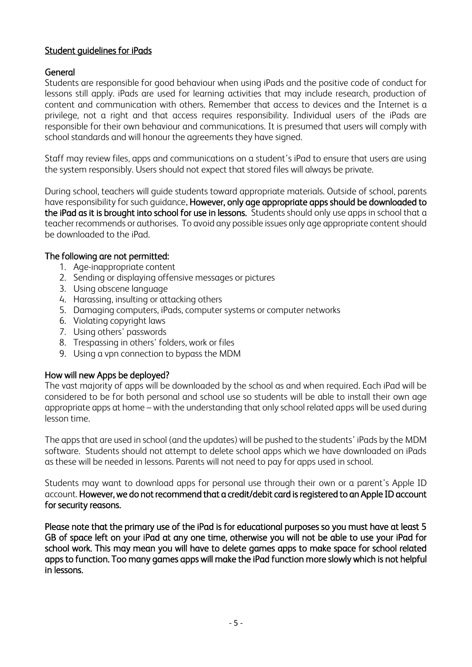## Student guidelines for iPads

### General

Students are responsible for good behaviour when using iPads and the positive code of conduct for lessons still apply. iPads are used for learning activities that may include research, production of content and communication with others. Remember that access to devices and the Internet is a privilege, not a right and that access requires responsibility. Individual users of the iPads are responsible for their own behaviour and communications. It is presumed that users will comply with school standards and will honour the agreements they have signed.

Staff may review files, apps and communications on a student's iPad to ensure that users are using the system responsibly. Users should not expect that stored files will always be private.

During school, teachers will guide students toward appropriate materials. Outside of school, parents have responsibility for such guidance. However, only age appropriate apps should be downloaded to the iPad as it is brought into school for use in lessons. Students should only use apps in school that a teacher recommends or authorises. To avoid any possible issues only age appropriate content should be downloaded to the iPad.

#### The following are not permitted:

- 1. Age-inappropriate content
- 2. Sending or displaying offensive messages or pictures
- 3. Using obscene language
- 4. Harassing, insulting or attacking others
- 5. Damaging computers, iPads, computer systems or computer networks
- 6. Violating copyright laws
- 7. Using others' passwords
- 8. Trespassing in others' folders, work or files
- 9. Using a vpn connection to bypass the MDM

#### How will new Apps be deployed?

The vast majority of apps will be downloaded by the school as and when required. Each iPad will be considered to be for both personal and school use so students will be able to install their own age appropriate apps at home – with the understanding that only school related apps will be used during lesson time.

The apps that are used in school (and the updates) will be pushed to the students' iPads by the MDM software. Students should not attempt to delete school apps which we have downloaded on iPads as these will be needed in lessons. Parents will not need to pay for apps used in school.

Students may want to download apps for personal use through their own or a parent's Apple ID account. However, we do not recommend that a credit/debit card is registered to an Apple ID account for security reasons.

Please note that the primary use of the iPad is for educational purposes so you must have at least 5 GB of space left on your iPad at any one time, otherwise you will not be able to use your iPad for school work. This may mean you will have to delete games apps to make space for school related apps to function. Too many games apps will make the iPad function more slowly which is not helpful in lessons.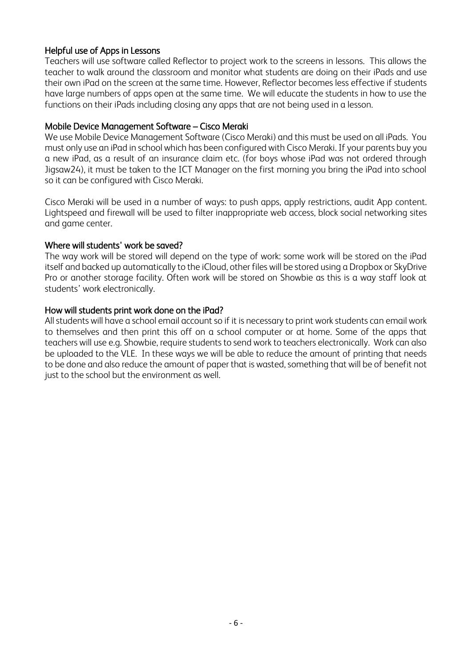### Helpful use of Apps in Lessons

Teachers will use software called Reflector to project work to the screens in lessons. This allows the teacher to walk around the classroom and monitor what students are doing on their iPads and use their own iPad on the screen at the same time. However, Reflector becomes less effective if students have large numbers of apps open at the same time. We will educate the students in how to use the functions on their iPads including closing any apps that are not being used in a lesson.

#### Mobile Device Management Software – Cisco Meraki

We use Mobile Device Management Software (Cisco Meraki) and this must be used on all iPads. You must only use an iPad in school which has been configured with Cisco Meraki. If your parents buy you a new iPad, as a result of an insurance claim etc. (for boys whose iPad was not ordered through Jigsaw24), it must be taken to the ICT Manager on the first morning you bring the iPad into school so it can be configured with Cisco Meraki.

Cisco Meraki will be used in a number of ways: to push apps, apply restrictions, audit App content. Lightspeed and firewall will be used to filter inappropriate web access, block social networking sites and game center.

#### Where will students' work be saved?

The way work will be stored will depend on the type of work: some work will be stored on the iPad itself and backed up automatically to the iCloud, other files will be stored using a Dropbox or SkyDrive Pro or another storage facility. Often work will be stored on Showbie as this is a way staff look at students' work electronically.

#### How will students print work done on the iPad?

All students will have a school email account so if it is necessary to print work students can email work to themselves and then print this off on a school computer or at home. Some of the apps that teachers will use e.g. Showbie, require students to send work to teachers electronically. Work can also be uploaded to the VLE. In these ways we will be able to reduce the amount of printing that needs to be done and also reduce the amount of paper that is wasted, something that will be of benefit not just to the school but the environment as well.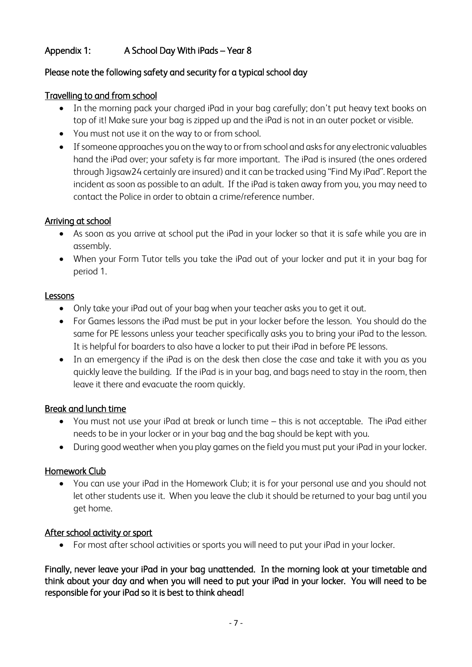## Appendix 1: A School Day With iPads – Year 8

## Please note the following safety and security for a typical school day

## Travelling to and from school

- In the morning pack your charged iPad in your bag carefully; don't put heavy text books on top of it! Make sure your bag is zipped up and the iPad is not in an outer pocket or visible.
- You must not use it on the way to or from school.
- If someone approaches you on the way to or from school and asks for any electronic valuables hand the iPad over; your safety is far more important. The iPad is insured (the ones ordered through Jigsaw24 certainly are insured) and it can be tracked using "Find My iPad". Report the incident as soon as possible to an adult. If the iPad is taken away from you, you may need to contact the Police in order to obtain a crime/reference number.

## Arriving at school

- As soon as you arrive at school put the iPad in your locker so that it is safe while you are in assembly.
- When your Form Tutor tells you take the iPad out of your locker and put it in your bag for period 1.

## Lessons

- Only take your iPad out of your bag when your teacher asks you to get it out.
- For Games lessons the iPad must be put in your locker before the lesson. You should do the same for PE lessons unless your teacher specifically asks you to bring your iPad to the lesson. It is helpful for boarders to also have a locker to put their iPad in before PE lessons.
- In an emergency if the iPad is on the desk then close the case and take it with you as you quickly leave the building. If the iPad is in your bag, and bags need to stay in the room, then leave it there and evacuate the room quickly.

## Break and lunch time

- You must not use your iPad at break or lunch time this is not acceptable. The iPad either needs to be in your locker or in your bag and the bag should be kept with you.
- During good weather when you play games on the field you must put your iPad in your locker.

## Homework Club

• You can use your iPad in the Homework Club; it is for your personal use and you should not let other students use it. When you leave the club it should be returned to your bag until you get home.

## After school activity or sport

• For most after school activities or sports you will need to put your iPad in your locker.

Finally, never leave your iPad in your bag unattended. In the morning look at your timetable and think about your day and when you will need to put your iPad in your locker. You will need to be responsible for your iPad so it is best to think ahead!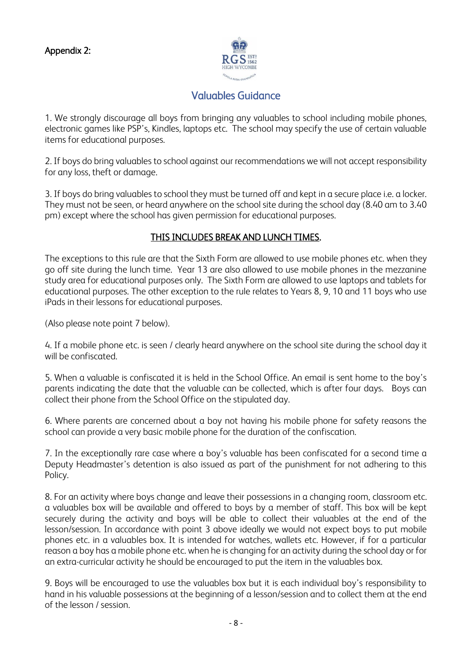

# Valuables Guidance

1. We strongly discourage all boys from bringing any valuables to school including mobile phones, electronic games like PSP's, Kindles, laptops etc. The school may specify the use of certain valuable items for educational purposes.

2. If boys do bring valuables to school against our recommendations we will not accept responsibility for any loss, theft or damage.

3. If boys do bring valuables to school they must be turned off and kept in a secure place i.e. a locker. They must not be seen, or heard anywhere on the school site during the school day (8.40 am to 3.40 pm) except where the school has given permission for educational purposes.

## THIS INCLUDES BREAK AND LUNCH TIMES.

The exceptions to this rule are that the Sixth Form are allowed to use mobile phones etc. when they go off site during the lunch time. Year 13 are also allowed to use mobile phones in the mezzanine study area for educational purposes only. The Sixth Form are allowed to use laptops and tablets for educational purposes. The other exception to the rule relates to Years 8, 9, 10 and 11 boys who use iPads in their lessons for educational purposes.

(Also please note point 7 below).

4. If a mobile phone etc. is seen / clearly heard anywhere on the school site during the school day it will be confiscated.

5. When a valuable is confiscated it is held in the School Office. An email is sent home to the boy's parents indicating the date that the valuable can be collected, which is after four days. Boys can collect their phone from the School Office on the stipulated day.

6. Where parents are concerned about a boy not having his mobile phone for safety reasons the school can provide a very basic mobile phone for the duration of the confiscation.

7. In the exceptionally rare case where a boy's valuable has been confiscated for a second time a Deputy Headmaster's detention is also issued as part of the punishment for not adhering to this Policy.

8. For an activity where boys change and leave their possessions in a changing room, classroom etc. a valuables box will be available and offered to boys by a member of staff. This box will be kept securely during the activity and boys will be able to collect their valuables at the end of the lesson/session. In accordance with point 3 above ideally we would not expect boys to put mobile phones etc. in a valuables box. It is intended for watches, wallets etc. However, if for a particular reason a boy has a mobile phone etc. when he is changing for an activity during the school day or for an extra-curricular activity he should be encouraged to put the item in the valuables box.

9. Boys will be encouraged to use the valuables box but it is each individual boy's responsibility to hand in his valuable possessions at the beginning of a lesson/session and to collect them at the end of the lesson / session.